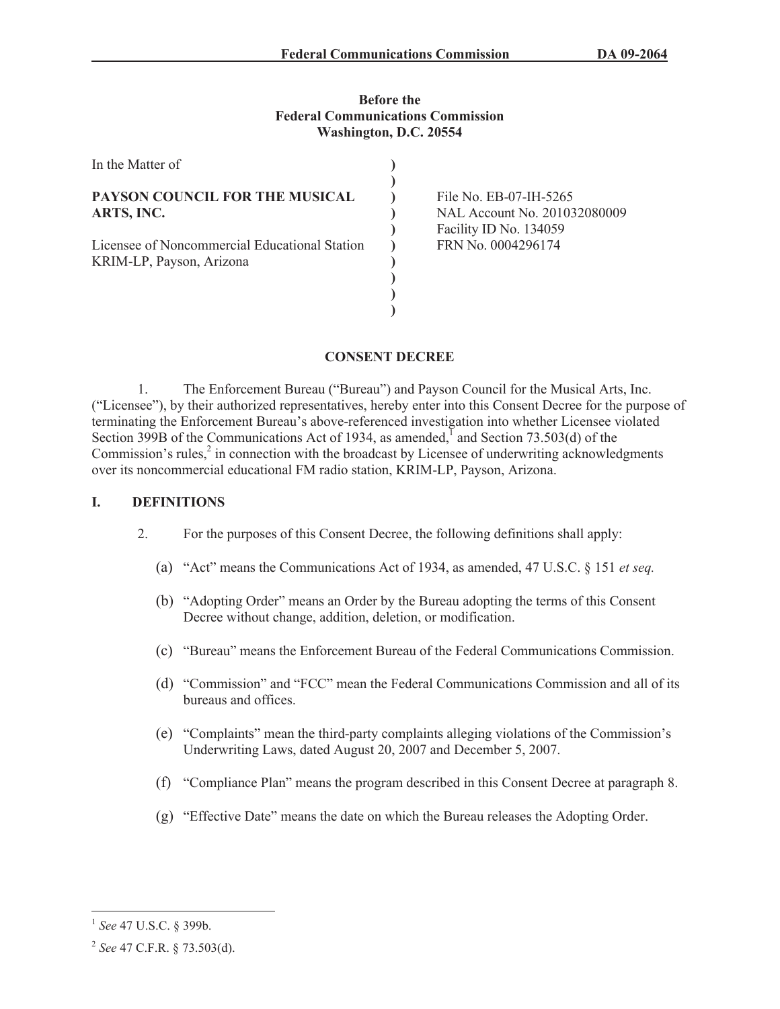### **Before the Federal Communications Commission Washington, D.C. 20554**

| In the Matter of                                                          |                                                                                  |
|---------------------------------------------------------------------------|----------------------------------------------------------------------------------|
| PAYSON COUNCIL FOR THE MUSICAL<br>ARTS, INC.                              | File No. EB-07-IH-5265<br>NAL Account No. 201032080009<br>Facility ID No. 134059 |
| Licensee of Noncommercial Educational Station<br>KRIM-LP, Payson, Arizona | FRN No. 0004296174                                                               |

# **CONSENT DECREE**

1. The Enforcement Bureau ("Bureau") and Payson Council for the Musical Arts, Inc. ("Licensee"), by their authorized representatives, hereby enter into this Consent Decree for the purpose of terminating the Enforcement Bureau's above-referenced investigation into whether Licensee violated Section 399B of the Communications Act of 1934, as amended,  $\overline{1}$  and Section 73.503(d) of the Commission's rules,<sup>2</sup> in connection with the broadcast by Licensee of underwriting acknowledgments over its noncommercial educational FM radio station, KRIM-LP, Payson, Arizona.

### **I. DEFINITIONS**

- 2. For the purposes of this Consent Decree, the following definitions shall apply:
	- (a) "Act" means the Communications Act of 1934, as amended, 47 U.S.C. § 151 *et seq.*
	- (b) "Adopting Order" means an Order by the Bureau adopting the terms of this Consent Decree without change, addition, deletion, or modification.
	- (c) "Bureau" means the Enforcement Bureau of the Federal Communications Commission.
	- (d) "Commission" and "FCC" mean the Federal Communications Commission and all of its bureaus and offices.
	- (e) "Complaints" mean the third-party complaints alleging violations of the Commission's Underwriting Laws, dated August 20, 2007 and December 5, 2007.
	- (f) "Compliance Plan" means the program described in this Consent Decree at paragraph 8.
	- (g) "Effective Date" means the date on which the Bureau releases the Adopting Order.

<sup>1</sup> *See* 47 U.S.C. § 399b.

<sup>2</sup> *See* 47 C.F.R. § 73.503(d).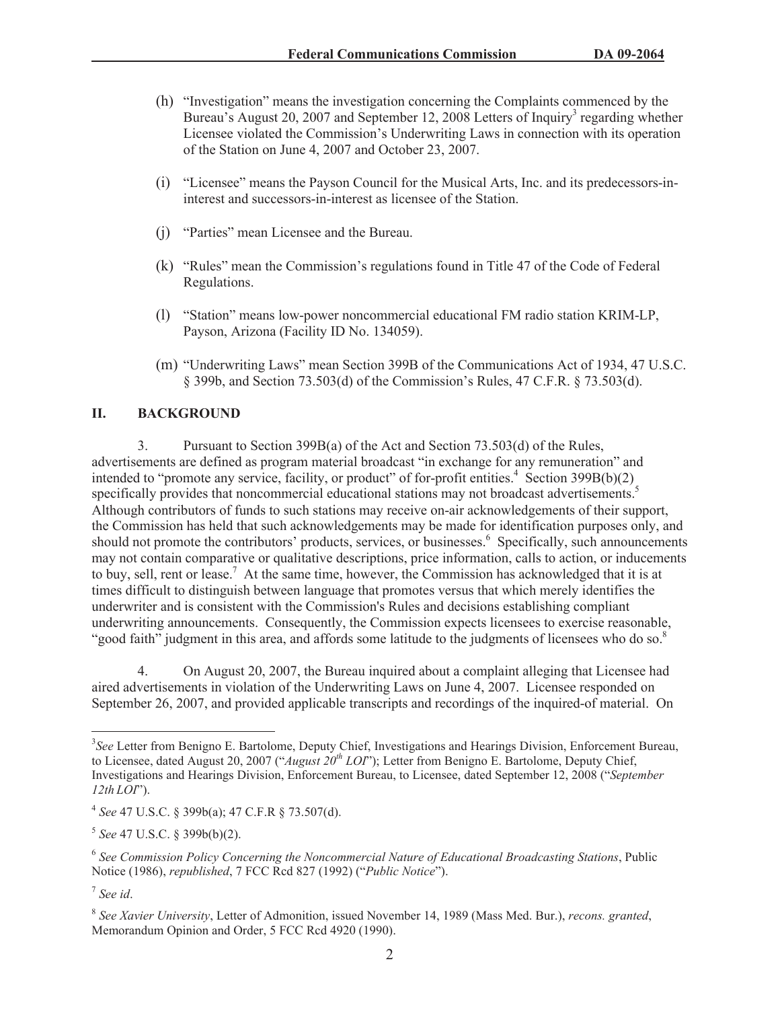- (h) "Investigation" means the investigation concerning the Complaints commenced by the Bureau's August 20, 2007 and September 12, 2008 Letters of Inquiry<sup>3</sup> regarding whether Licensee violated the Commission's Underwriting Laws in connection with its operation of the Station on June 4, 2007 and October 23, 2007.
- (i) "Licensee" means the Payson Council for the Musical Arts, Inc. and its predecessors-ininterest and successors-in-interest as licensee of the Station.
- (j) "Parties" mean Licensee and the Bureau.
- (k) "Rules" mean the Commission's regulations found in Title 47 of the Code of Federal Regulations.
- (l) "Station" means low-power noncommercial educational FM radio station KRIM-LP, Payson, Arizona (Facility ID No. 134059).
- (m) "Underwriting Laws" mean Section 399B of the Communications Act of 1934, 47 U.S.C. § 399b, and Section 73.503(d) of the Commission's Rules, 47 C.F.R. § 73.503(d).

### **II. BACKGROUND**

3. Pursuant to Section 399B(a) of the Act and Section 73.503(d) of the Rules, advertisements are defined as program material broadcast "in exchange for any remuneration" and intended to "promote any service, facility, or product" of for-profit entities.<sup>4</sup> Section 399B(b)(2) specifically provides that noncommercial educational stations may not broadcast advertisements.<sup>5</sup> Although contributors of funds to such stations may receive on-air acknowledgements of their support, the Commission has held that such acknowledgements may be made for identification purposes only, and should not promote the contributors' products, services, or businesses.<sup>6</sup> Specifically, such announcements may not contain comparative or qualitative descriptions, price information, calls to action, or inducements to buy, sell, rent or lease.<sup>7</sup> At the same time, however, the Commission has acknowledged that it is at times difficult to distinguish between language that promotes versus that which merely identifies the underwriter and is consistent with the Commission's Rules and decisions establishing compliant underwriting announcements. Consequently, the Commission expects licensees to exercise reasonable, "good faith" judgment in this area, and affords some latitude to the judgments of licensees who do so.<sup>8</sup>

4. On August 20, 2007, the Bureau inquired about a complaint alleging that Licensee had aired advertisements in violation of the Underwriting Laws on June 4, 2007. Licensee responded on September 26, 2007, and provided applicable transcripts and recordings of the inquired-of material. On

<sup>3</sup> *See* Letter from Benigno E. Bartolome, Deputy Chief, Investigations and Hearings Division, Enforcement Bureau, to Licensee, dated August 20, 2007 ("*August 20th LOI*"); Letter from Benigno E. Bartolome, Deputy Chief, Investigations and Hearings Division, Enforcement Bureau, to Licensee, dated September 12, 2008 ("*September 12th LOI*").

<sup>4</sup> *See* 47 U.S.C. § 399b(a); 47 C.F.R § 73.507(d).

<sup>5</sup> *See* 47 U.S.C. § 399b(b)(2).

<sup>6</sup> *See Commission Policy Concerning the Noncommercial Nature of Educational Broadcasting Stations*, Public Notice (1986), *republished*, 7 FCC Rcd 827 (1992) ("*Public Notice*").

<sup>7</sup> *See id*.

<sup>8</sup> *See Xavier University*, Letter of Admonition, issued November 14, 1989 (Mass Med. Bur.), *recons. granted*, Memorandum Opinion and Order, 5 FCC Rcd 4920 (1990).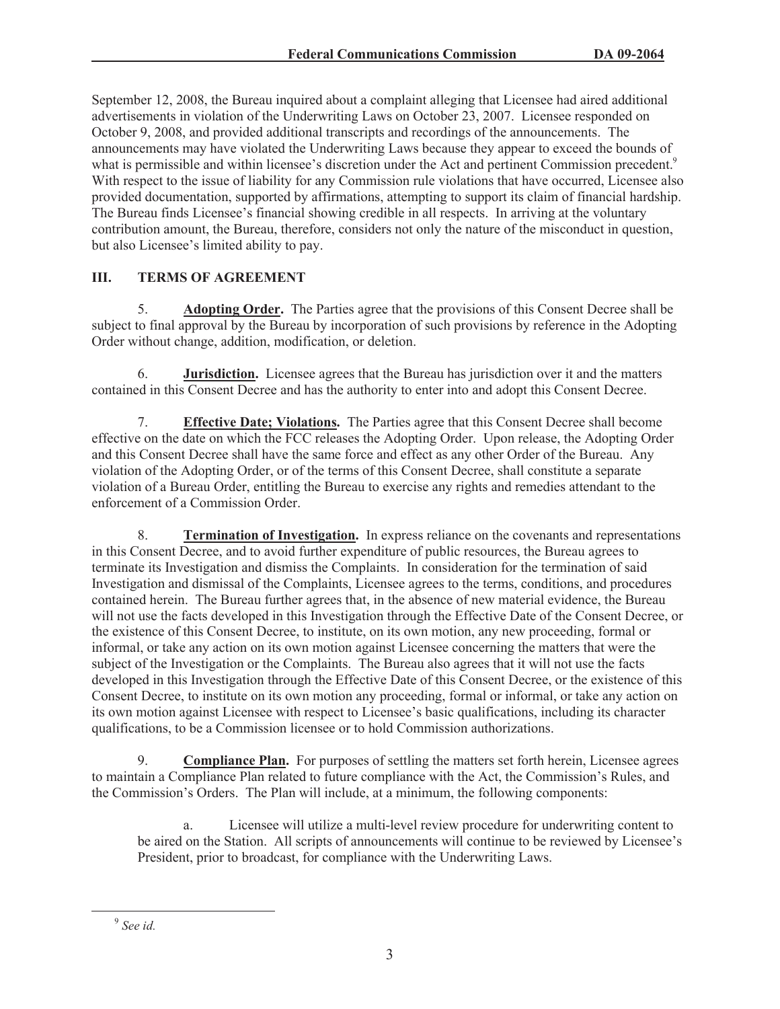September 12, 2008, the Bureau inquired about a complaint alleging that Licensee had aired additional advertisements in violation of the Underwriting Laws on October 23, 2007. Licensee responded on October 9, 2008, and provided additional transcripts and recordings of the announcements. The announcements may have violated the Underwriting Laws because they appear to exceed the bounds of what is permissible and within licensee's discretion under the Act and pertinent Commission precedent.<sup>9</sup> With respect to the issue of liability for any Commission rule violations that have occurred, Licensee also provided documentation, supported by affirmations, attempting to support its claim of financial hardship. The Bureau finds Licensee's financial showing credible in all respects. In arriving at the voluntary contribution amount, the Bureau, therefore, considers not only the nature of the misconduct in question, but also Licensee's limited ability to pay.

## **III. TERMS OF AGREEMENT**

5. **Adopting Order.** The Parties agree that the provisions of this Consent Decree shall be subject to final approval by the Bureau by incorporation of such provisions by reference in the Adopting Order without change, addition, modification, or deletion.

6. **Jurisdiction.** Licensee agrees that the Bureau has jurisdiction over it and the matters contained in this Consent Decree and has the authority to enter into and adopt this Consent Decree.

7. **Effective Date; Violations.** The Parties agree that this Consent Decree shall become effective on the date on which the FCC releases the Adopting Order. Upon release, the Adopting Order and this Consent Decree shall have the same force and effect as any other Order of the Bureau. Any violation of the Adopting Order, or of the terms of this Consent Decree, shall constitute a separate violation of a Bureau Order, entitling the Bureau to exercise any rights and remedies attendant to the enforcement of a Commission Order.

8. **Termination of Investigation.** In express reliance on the covenants and representations in this Consent Decree, and to avoid further expenditure of public resources, the Bureau agrees to terminate its Investigation and dismiss the Complaints. In consideration for the termination of said Investigation and dismissal of the Complaints, Licensee agrees to the terms, conditions, and procedures contained herein. The Bureau further agrees that, in the absence of new material evidence, the Bureau will not use the facts developed in this Investigation through the Effective Date of the Consent Decree, or the existence of this Consent Decree, to institute, on its own motion, any new proceeding, formal or informal, or take any action on its own motion against Licensee concerning the matters that were the subject of the Investigation or the Complaints. The Bureau also agrees that it will not use the facts developed in this Investigation through the Effective Date of this Consent Decree, or the existence of this Consent Decree, to institute on its own motion any proceeding, formal or informal, or take any action on its own motion against Licensee with respect to Licensee's basic qualifications, including its character qualifications, to be a Commission licensee or to hold Commission authorizations.

9. **Compliance Plan.** For purposes of settling the matters set forth herein, Licensee agrees to maintain a Compliance Plan related to future compliance with the Act, the Commission's Rules, and the Commission's Orders. The Plan will include, at a minimum, the following components:

a. Licensee will utilize a multi-level review procedure for underwriting content to be aired on the Station. All scripts of announcements will continue to be reviewed by Licensee's President, prior to broadcast, for compliance with the Underwriting Laws.

<sup>9</sup> *See id.*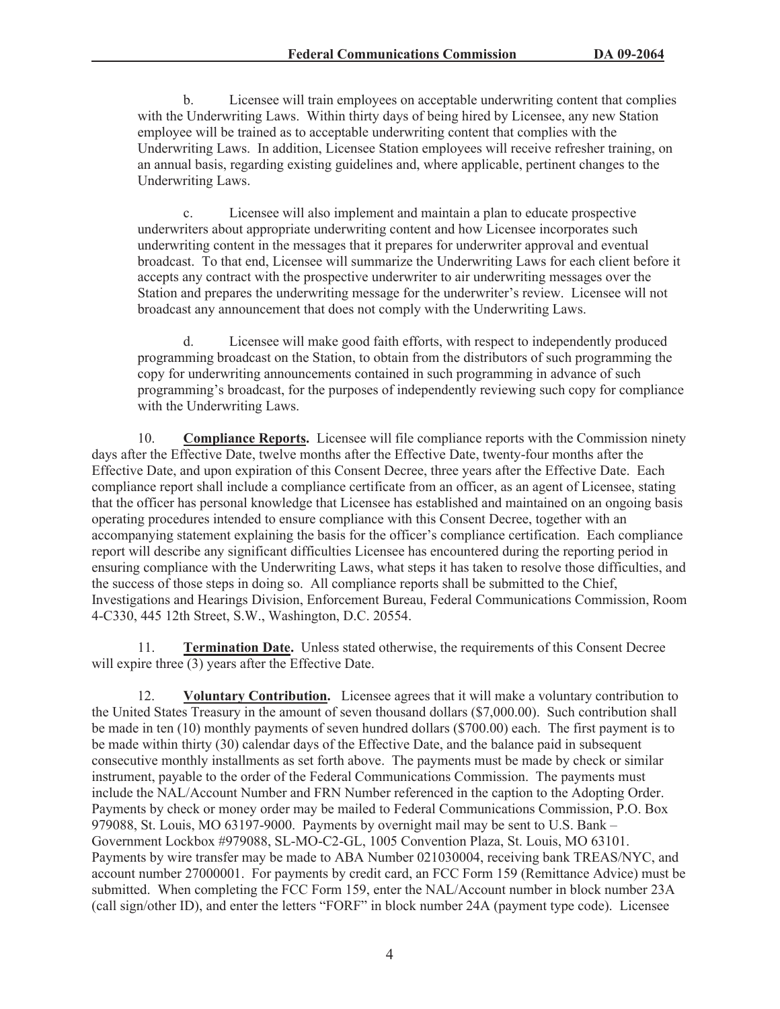b. Licensee will train employees on acceptable underwriting content that complies with the Underwriting Laws. Within thirty days of being hired by Licensee, any new Station employee will be trained as to acceptable underwriting content that complies with the Underwriting Laws. In addition, Licensee Station employees will receive refresher training, on an annual basis, regarding existing guidelines and, where applicable, pertinent changes to the Underwriting Laws.

c. Licensee will also implement and maintain a plan to educate prospective underwriters about appropriate underwriting content and how Licensee incorporates such underwriting content in the messages that it prepares for underwriter approval and eventual broadcast. To that end, Licensee will summarize the Underwriting Laws for each client before it accepts any contract with the prospective underwriter to air underwriting messages over the Station and prepares the underwriting message for the underwriter's review. Licensee will not broadcast any announcement that does not comply with the Underwriting Laws.

d. Licensee will make good faith efforts, with respect to independently produced programming broadcast on the Station, to obtain from the distributors of such programming the copy for underwriting announcements contained in such programming in advance of such programming's broadcast, for the purposes of independently reviewing such copy for compliance with the Underwriting Laws.

10. **Compliance Reports.** Licensee will file compliance reports with the Commission ninety days after the Effective Date, twelve months after the Effective Date, twenty-four months after the Effective Date, and upon expiration of this Consent Decree, three years after the Effective Date. Each compliance report shall include a compliance certificate from an officer, as an agent of Licensee, stating that the officer has personal knowledge that Licensee has established and maintained on an ongoing basis operating procedures intended to ensure compliance with this Consent Decree, together with an accompanying statement explaining the basis for the officer's compliance certification. Each compliance report will describe any significant difficulties Licensee has encountered during the reporting period in ensuring compliance with the Underwriting Laws, what steps it has taken to resolve those difficulties, and the success of those steps in doing so. All compliance reports shall be submitted to the Chief, Investigations and Hearings Division, Enforcement Bureau, Federal Communications Commission, Room 4-C330, 445 12th Street, S.W., Washington, D.C. 20554.

11. **Termination Date.** Unless stated otherwise, the requirements of this Consent Decree will expire three (3) years after the Effective Date.

12. **Voluntary Contribution.** Licensee agrees that it will make a voluntary contribution to the United States Treasury in the amount of seven thousand dollars (\$7,000.00). Such contribution shall be made in ten (10) monthly payments of seven hundred dollars (\$700.00) each. The first payment is to be made within thirty (30) calendar days of the Effective Date, and the balance paid in subsequent consecutive monthly installments as set forth above. The payments must be made by check or similar instrument, payable to the order of the Federal Communications Commission. The payments must include the NAL/Account Number and FRN Number referenced in the caption to the Adopting Order. Payments by check or money order may be mailed to Federal Communications Commission, P.O. Box 979088, St. Louis, MO 63197-9000. Payments by overnight mail may be sent to U.S. Bank – Government Lockbox #979088, SL-MO-C2-GL, 1005 Convention Plaza, St. Louis, MO 63101. Payments by wire transfer may be made to ABA Number 021030004, receiving bank TREAS/NYC, and account number 27000001. For payments by credit card, an FCC Form 159 (Remittance Advice) must be submitted. When completing the FCC Form 159, enter the NAL/Account number in block number 23A (call sign/other ID), and enter the letters "FORF" in block number 24A (payment type code). Licensee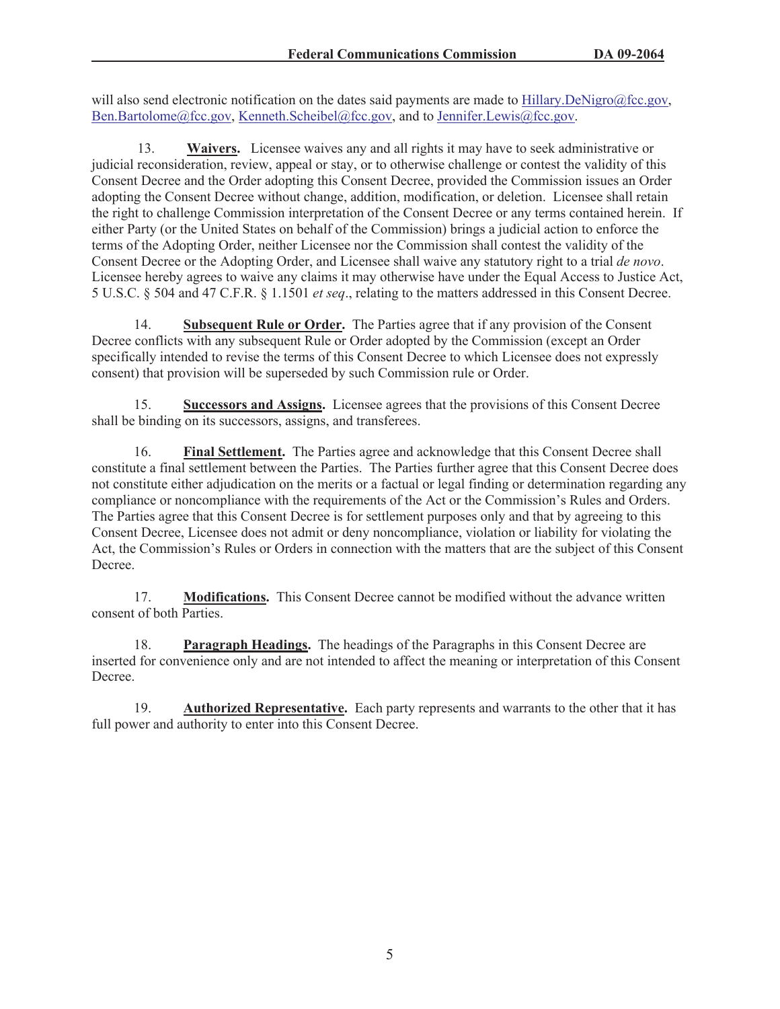will also send electronic notification on the dates said payments are made to Hillary.DeNigro@fcc.gov, Ben.Bartolome@fcc.gov, Kenneth.Scheibel@fcc.gov, and to Jennifer.Lewis@fcc.gov.

13. **Waivers.** Licensee waives any and all rights it may have to seek administrative or judicial reconsideration, review, appeal or stay, or to otherwise challenge or contest the validity of this Consent Decree and the Order adopting this Consent Decree, provided the Commission issues an Order adopting the Consent Decree without change, addition, modification, or deletion. Licensee shall retain the right to challenge Commission interpretation of the Consent Decree or any terms contained herein. If either Party (or the United States on behalf of the Commission) brings a judicial action to enforce the terms of the Adopting Order, neither Licensee nor the Commission shall contest the validity of the Consent Decree or the Adopting Order, and Licensee shall waive any statutory right to a trial *de novo*. Licensee hereby agrees to waive any claims it may otherwise have under the Equal Access to Justice Act, 5 U.S.C. § 504 and 47 C.F.R. § 1.1501 *et seq*., relating to the matters addressed in this Consent Decree.

14. **Subsequent Rule or Order.** The Parties agree that if any provision of the Consent Decree conflicts with any subsequent Rule or Order adopted by the Commission (except an Order specifically intended to revise the terms of this Consent Decree to which Licensee does not expressly consent) that provision will be superseded by such Commission rule or Order.

15. **Successors and Assigns.** Licensee agrees that the provisions of this Consent Decree shall be binding on its successors, assigns, and transferees.

16. **Final Settlement.** The Parties agree and acknowledge that this Consent Decree shall constitute a final settlement between the Parties. The Parties further agree that this Consent Decree does not constitute either adjudication on the merits or a factual or legal finding or determination regarding any compliance or noncompliance with the requirements of the Act or the Commission's Rules and Orders. The Parties agree that this Consent Decree is for settlement purposes only and that by agreeing to this Consent Decree, Licensee does not admit or deny noncompliance, violation or liability for violating the Act, the Commission's Rules or Orders in connection with the matters that are the subject of this Consent Decree.

17. **Modifications.** This Consent Decree cannot be modified without the advance written consent of both Parties.

18. **Paragraph Headings.** The headings of the Paragraphs in this Consent Decree are inserted for convenience only and are not intended to affect the meaning or interpretation of this Consent Decree.

19. **Authorized Representative.** Each party represents and warrants to the other that it has full power and authority to enter into this Consent Decree.